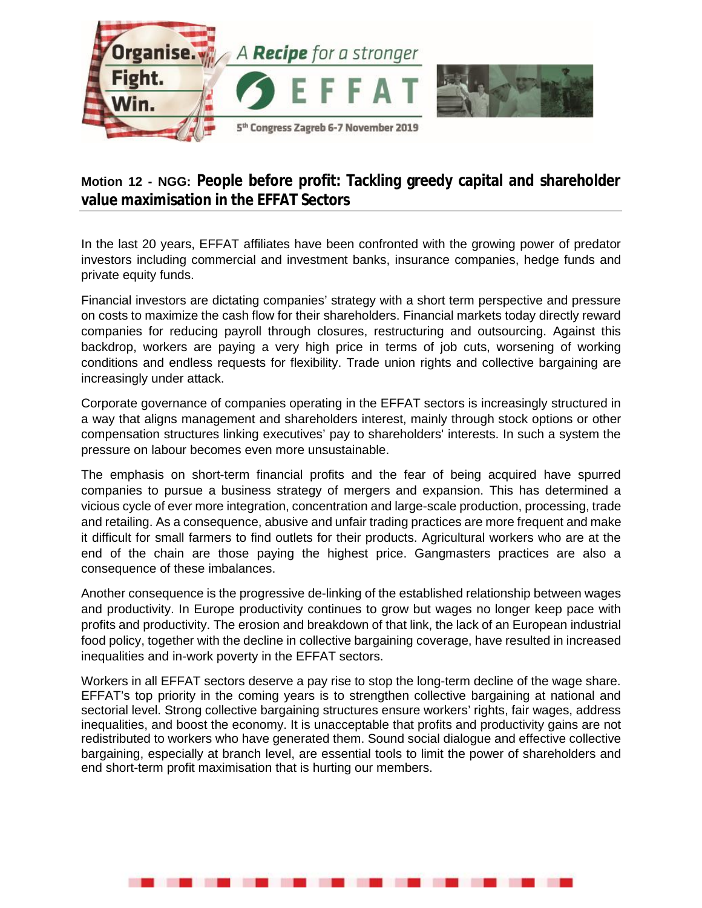

## **Motion 12 - NGG: People before profit: Tackling greedy capital and shareholder value maximisation in the EFFAT Sectors**

In the last 20 years, EFFAT affiliates have been confronted with the growing power of predator investors including commercial and investment banks, insurance companies, hedge funds and private equity funds.

Financial investors are dictating companies' strategy with a short term perspective and pressure on costs to maximize the cash flow for their shareholders. Financial markets today directly reward companies for reducing payroll through closures, restructuring and outsourcing. Against this backdrop, workers are paying a very high price in terms of job cuts, worsening of working conditions and endless requests for flexibility. Trade union rights and collective bargaining are increasingly under attack.

Corporate governance of companies operating in the EFFAT sectors is increasingly structured in a way that aligns management and shareholders interest, mainly through stock options or other compensation structures linking executives' pay to shareholders' interests. In such a system the pressure on labour becomes even more unsustainable.

The emphasis on short-term financial profits and the fear of being acquired have spurred companies to pursue a business strategy of mergers and expansion. This has determined a vicious cycle of ever more integration, concentration and large-scale production, processing, trade and retailing. As a consequence, abusive and unfair trading practices are more frequent and make it difficult for small farmers to find outlets for their products. Agricultural workers who are at the end of the chain are those paying the highest price. Gangmasters practices are also a consequence of these imbalances.

Another consequence is the progressive de-linking of the established relationship between wages and productivity. In Europe productivity continues to grow but wages no longer keep pace with profits and productivity. The erosion and breakdown of that link, the lack of an European industrial food policy, together with the decline in collective bargaining coverage, have resulted in increased inequalities and in-work poverty in the EFFAT sectors.

Workers in all EFFAT sectors deserve a pay rise to stop the long-term decline of the wage share. EFFAT's top priority in the coming years is to strengthen collective bargaining at national and sectorial level. Strong collective bargaining structures ensure workers' rights, fair wages, address inequalities, and boost the economy. It is unacceptable that profits and productivity gains are not redistributed to workers who have generated them. Sound social dialogue and effective collective bargaining, especially at branch level, are essential tools to limit the power of shareholders and end short-term profit maximisation that is hurting our members.

. . . . . . . . .